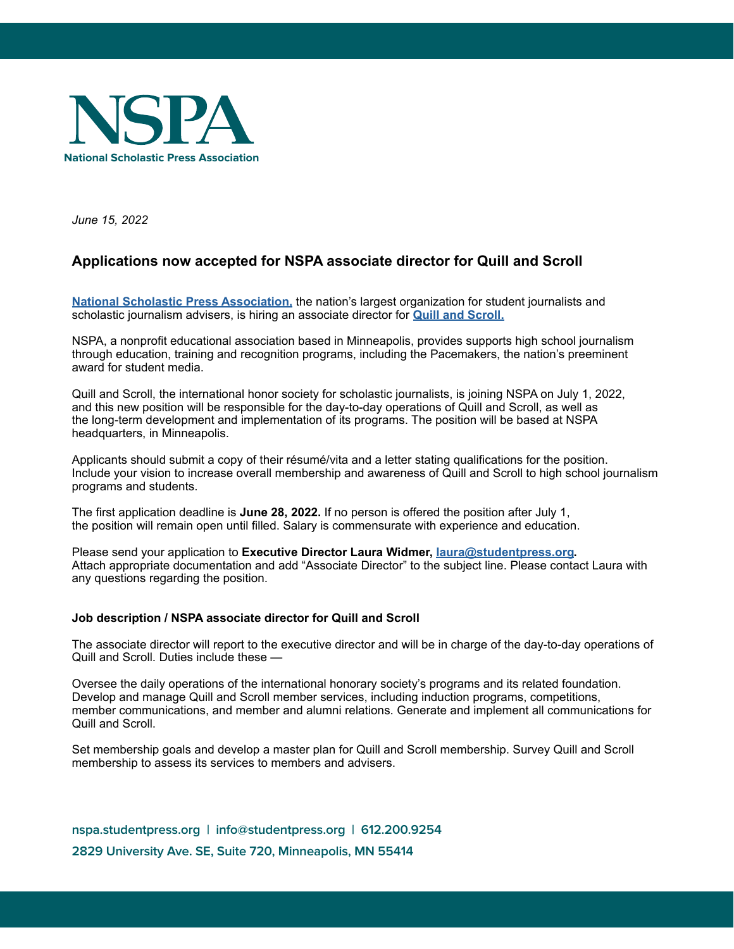

*June 15, 2022*

# **Applications now accepted for NSPA associate director for Quill and Scroll**

**[National Scholastic Press Association,](https://studentpress.org/nspa/)** the nation's largest organization for student journalists and scholastic journalism advisers, is hiring an associate director for **[Quill and Scroll.](https://quillandscroll.org/)**

NSPA, a nonprofit educational association based in Minneapolis, provides supports high school journalism through education, training and recognition programs, including the Pacemakers, the nation's preeminent award for student media.

Quill and Scroll, the international honor society for scholastic journalists, is joining NSPA on July 1, 2022, and this new position will be responsible for the day-to-day operations of Quill and Scroll, as well as the long-term development and implementation of its programs. The position will be based at NSPA headquarters, in Minneapolis.

Applicants should submit a copy of their résumé/vita and a letter stating qualifications for the position. Include your vision to increase overall membership and awareness of Quill and Scroll to high school journalism programs and students.

The first application deadline is **June 28, 2022.** If no person is offered the position after July 1, the position will remain open until filled. Salary is commensurate with experience and education.

Please send your application to **Executive Director Laura Widmer, [laura@studentpress.org.](mailto:laura@studentpress.org)** Attach appropriate documentation and add "Associate Director" to the subject line. Please contact Laura with any questions regarding the position.

## **Job description / NSPA associate director for Quill and Scroll**

The associate director will report to the executive director and will be in charge of the day-to-day operations of Quill and Scroll. Duties include these —

Oversee the daily operations of the international honorary society's programs and its related foundation. Develop and manage Quill and Scroll member services, including induction programs, competitions, member communications, and member and alumni relations. Generate and implement all communications for Quill and Scroll.

Set membership goals and develop a master plan for Quill and Scroll membership. Survey Quill and Scroll membership to assess its services to members and advisers.

**nspa.studentpress.org | info@studentpress.org | 612.200.9254 2829 University Ave. SE, Suite 720, Minneapolis, MN 55414**